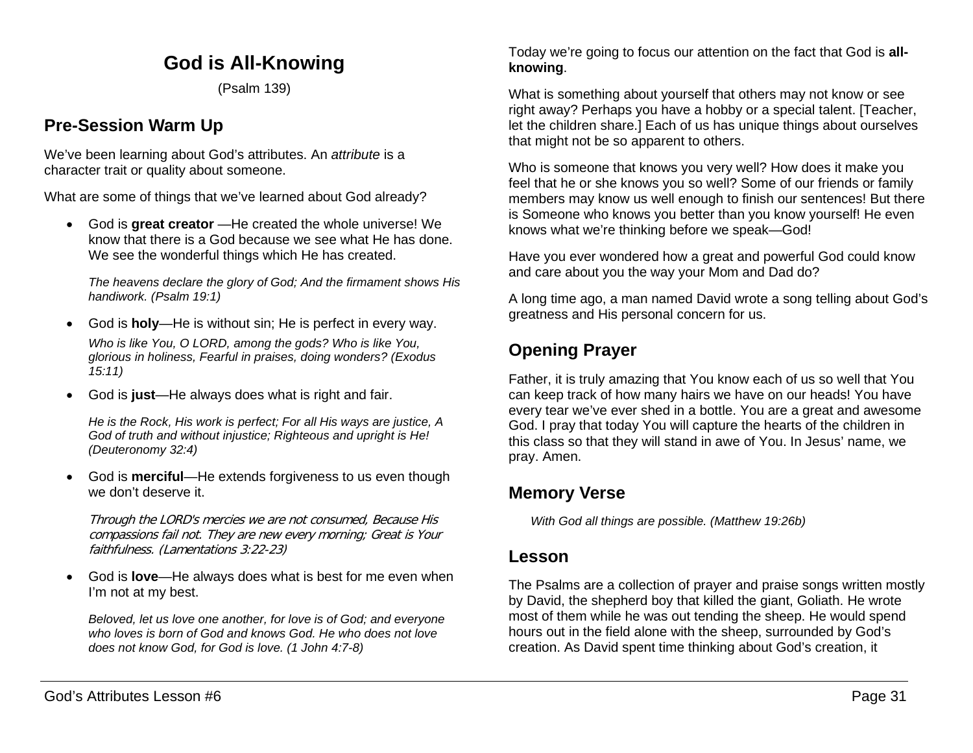# **God is All-Knowing**

(Psalm 139)

# **Pre-Session Warm Up**

We've been learning about God's attributes. An *attribute* is a character trait or quality about someone.

What are some of things that we've learned about God already?

• God is **great creator** —He created the whole universe! We know that there is a God because we see what He has done. We see the wonderful things which He has created.

*The heavens declare the glory of God; And the firmament shows His handiwork. (Psalm 19:1)*

• God is **holy**—He is without sin; He is perfect in every way.

*Who is like You, O LORD, among the gods? Who is like You, glorious in holiness, Fearful in praises, doing wonders? (Exodus 15:11)*

• God is **just**—He always does what is right and fair.

*He is the Rock, His work is perfect; For all His ways are justice, A God of truth and without injustice; Righteous and upright is He! (Deuteronomy 32:4)*

• God is **merciful**—He extends forgiveness to us even though we don't deserve it.

Through the LORD's mercies we are not consumed, Because His compassions fail not. They are new every morning; Great is Your faithfulness. (Lamentations 3:22-23)

• God is **love**—He always does what is best for me even when I'm not at my best.

*Beloved, let us love one another, for love is of God; and everyone who loves is born of God and knows God. He who does not love does not know God, for God is love. (1 John 4:7-8)*

Today we're going to focus our attention on the fact that God is **allknowing**.

What is something about yourself that others may not know or see right away? Perhaps you have a hobby or a special talent. [Teacher, let the children share.] Each of us has unique things about ourselves that might not be so apparent to others.

Who is someone that knows you very well? How does it make you feel that he or she knows you so well? Some of our friends or family members may know us well enough to finish our sentences! But there is Someone who knows you better than you know yourself! He even knows what we're thinking before we speak—God!

Have you ever wondered how a great and powerful God could know and care about you the way your Mom and Dad do?

A long time ago, a man named David wrote a song telling about God's greatness and His personal concern for us.

# **Opening Prayer**

Father, it is truly amazing that You know each of us so well that You can keep track of how many hairs we have on our heads! You have every tear we've ever shed in a bottle. You are a great and awesome God. I pray that today You will capture the hearts of the children in this class so that they will stand in awe of You. In Jesus' name, we pray. Amen.

# **Memory Verse**

*With God all things are possible. (Matthew 19:26b)*

## **Lesson**

The Psalms are a collection of prayer and praise songs written mostly by David, the shepherd boy that killed the giant, Goliath. He wrote most of them while he was out tending the sheep. He would spend hours out in the field alone with the sheep, surrounded by God's creation. As David spent time thinking about God's creation, it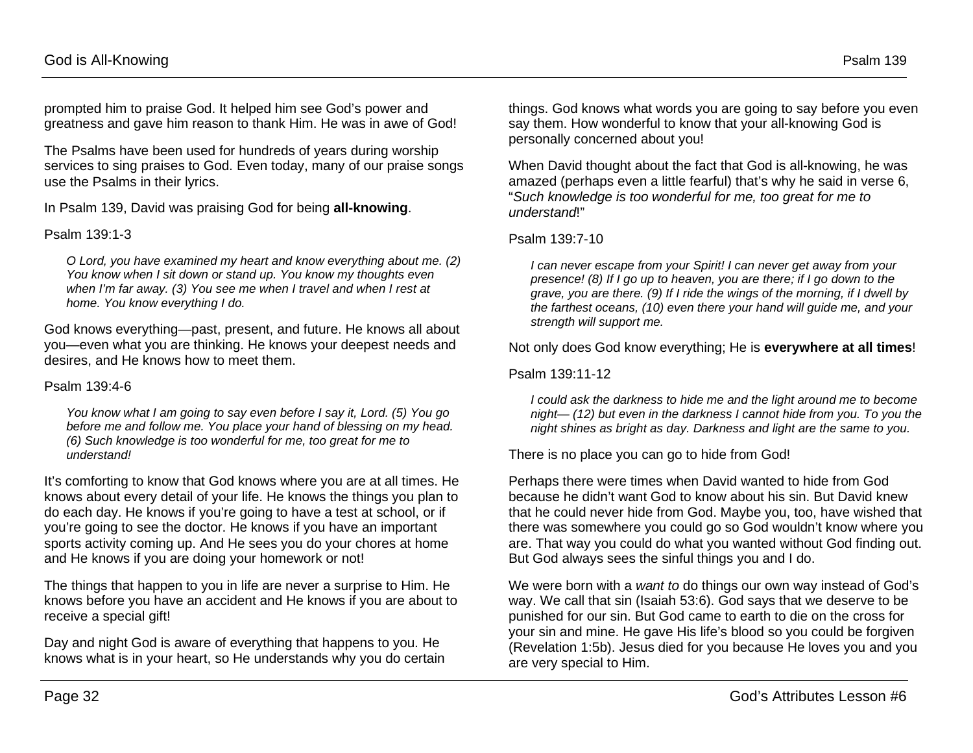prompted him to praise God. It helped him see God's power and greatness and gave him reason to thank Him. He was in awe of God!

The Psalms have been used for hundreds of years during worship services to sing praises to God. Even today, many of our praise songs use the Psalms in their lyrics.

In Psalm 139, David was praising God for being **all-knowing**.

#### Psalm 139:1-3

*O Lord, you have examined my heart and know everything about me. (2) You know when I sit down or stand up. You know my thoughts even when I'm far away. (3) You see me when I travel and when I rest at home. You know everything I do.*

God knows everything—past, present, and future. He knows all about you—even what you are thinking. He knows your deepest needs and desires, and He knows how to meet them.

#### Psalm 139:4-6

*You know what I am going to say even before I say it, Lord. (5) You go before me and follow me. You place your hand of blessing on my head. (6) Such knowledge is too wonderful for me, too great for me to understand!*

It's comforting to know that God knows where you are at all times. He knows about every detail of your life. He knows the things you plan to do each day. He knows if you're going to have a test at school, or if you're going to see the doctor. He knows if you have an important sports activity coming up. And He sees you do your chores at home and He knows if you are doing your homework or not!

The things that happen to you in life are never a surprise to Him. He knows before you have an accident and He knows if you are about to receive a special gift!

Day and night God is aware of everything that happens to you. He knows what is in your heart, so He understands why you do certain things. God knows what words you are going to say before you even say them. How wonderful to know that your all-knowing God is personally concerned about you!

When David thought about the fact that God is all-knowing, he was amazed (perhaps even a little fearful) that's why he said in verse 6, "*Such knowledge is too wonderful for me, too great for me to understand*!"

#### Psalm 139:7-10

*I can never escape from your Spirit! I can never get away from your presence! (8) If I go up to heaven, you are there; if I go down to the grave, you are there. (9) If I ride the wings of the morning, if I dwell by the farthest oceans, (10) even there your hand will guide me, and your strength will support me.*

Not only does God know everything; He is **everywhere at all times**!

Psalm 139:11-12

*I could ask the darkness to hide me and the light around me to become night— (12) but even in the darkness I cannot hide from you. To you the night shines as bright as day. Darkness and light are the same to you.*

There is no place you can go to hide from God!

Perhaps there were times when David wanted to hide from God because he didn't want God to know about his sin. But David knew that he could never hide from God. Maybe you, too, have wished that there was somewhere you could go so God wouldn't know where you are. That way you could do what you wanted without God finding out. But God always sees the sinful things you and I do.

We were born with a *want to* do things our own way instead of God's way. We call that sin (Isaiah 53:6). God says that we deserve to be punished for our sin. But God came to earth to die on the cross for your sin and mine. He gave His life's blood so you could be forgiven (Revelation 1:5b). Jesus died for you because He loves you and you are very special to Him.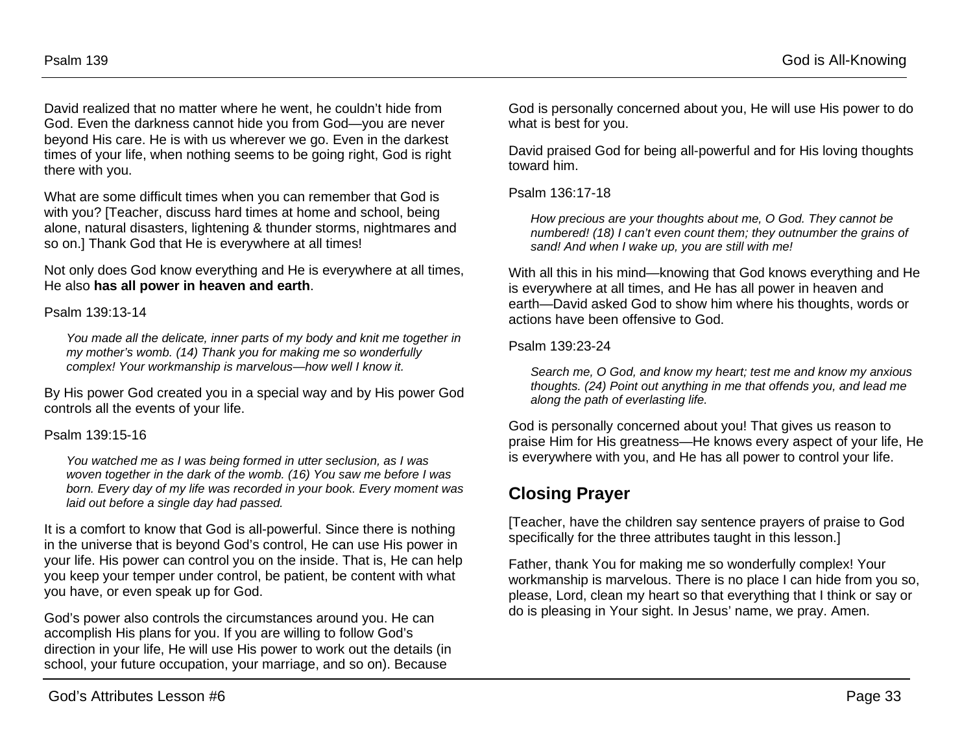David realized that no matter where he went, he couldn't hide from God. Even the darkness cannot hide you from God—you are never beyond His care. He is with us wherever we go. Even in the darkest times of your life, when nothing seems to be going right, God is right there with you.

What are some difficult times when you can remember that God is with you? [Teacher, discuss hard times at home and school, being alone, natural disasters, lightening & thunder storms, nightmares and so on.] Thank God that He is everywhere at all times!

Not only does God know everything and He is everywhere at all times, He also **has all power in heaven and earth**.

Psalm 139:13-14

*You made all the delicate, inner parts of my body and knit me together in my mother's womb. (14) Thank you for making me so wonderfully complex! Your workmanship is marvelous—how well I know it.*

By His power God created you in a special way and by His power God controls all the events of your life.

#### Psalm 139:15-16

*You watched me as I was being formed in utter seclusion, as I was woven together in the dark of the womb. (16) You saw me before I was born. Every day of my life was recorded in your book. Every moment was laid out before a single day had passed.*

It is a comfort to know that God is all-powerful. Since there is nothing in the universe that is beyond God's control, He can use His power in your life. His power can control you on the inside. That is, He can help you keep your temper under control, be patient, be content with what you have, or even speak up for God.

God's power also controls the circumstances around you. He can accomplish His plans for you. If you are willing to follow God's direction in your life, He will use His power to work out the details (in school, your future occupation, your marriage, and so on). Because

God is personally concerned about you, He will use His power to do what is best for you.

David praised God for being all-powerful and for His loving thoughts toward him.

Psalm 136:17-18

*How precious are your thoughts about me, O God. They cannot be numbered! (18) I can't even count them; they outnumber the grains of sand! And when I wake up, you are still with me!*

With all this in his mind—knowing that God knows everything and He is everywhere at all times, and He has all power in heaven and earth—David asked God to show him where his thoughts, words or actions have been offensive to God.

Psalm 139:23-24

*Search me, O God, and know my heart; test me and know my anxious thoughts. (24) Point out anything in me that offends you, and lead me along the path of everlasting life.*

God is personally concerned about you! That gives us reason to praise Him for His greatness—He knows every aspect of your life, He is everywhere with you, and He has all power to control your life.

# **Closing Prayer**

[Teacher, have the children say sentence prayers of praise to God specifically for the three attributes taught in this lesson.]

Father, thank You for making me so wonderfully complex! Your workmanship is marvelous. There is no place I can hide from you so, please, Lord, clean my heart so that everything that I think or say or do is pleasing in Your sight. In Jesus' name, we pray. Amen.